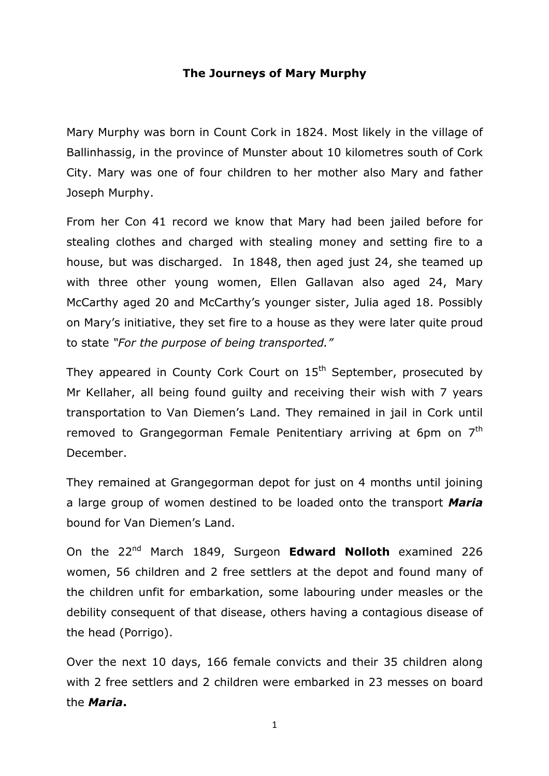## **The Journeys of Mary Murphy**

Mary Murphy was born in Count Cork in 1824. Most likely in the village of Ballinhassig, in the province of Munster about 10 kilometres south of Cork City. Mary was one of four children to her mother also Mary and father Joseph Murphy.

From her Con 41 record we know that Mary had been jailed before for stealing clothes and charged with stealing money and setting fire to a house, but was discharged. In 1848, then aged just 24, she teamed up with three other young women, Ellen Gallavan also aged 24, Mary McCarthy aged 20 and McCarthy's younger sister, Julia aged 18. Possibly on Mary's initiative, they set fire to a house as they were later quite proud to state *"For the purpose of being transported."*

They appeared in County Cork Court on  $15<sup>th</sup>$  September, prosecuted by Mr Kellaher, all being found guilty and receiving their wish with 7 years transportation to Van Diemen's Land. They remained in jail in Cork until removed to Grangegorman Female Penitentiary arriving at 6pm on 7<sup>th</sup> December.

They remained at Grangegorman depot for just on 4 months until joining a large group of women destined to be loaded onto the transport *Maria*  bound for Van Diemen's Land.

On the 22nd March 1849, Surgeon **Edward Nolloth** examined 226 women, 56 children and 2 free settlers at the depot and found many of the children unfit for embarkation, some labouring under measles or the debility consequent of that disease, others having a contagious disease of the head (Porrigo).

Over the next 10 days, 166 female convicts and their 35 children along with 2 free settlers and 2 children were embarked in 23 messes on board the *Maria***.**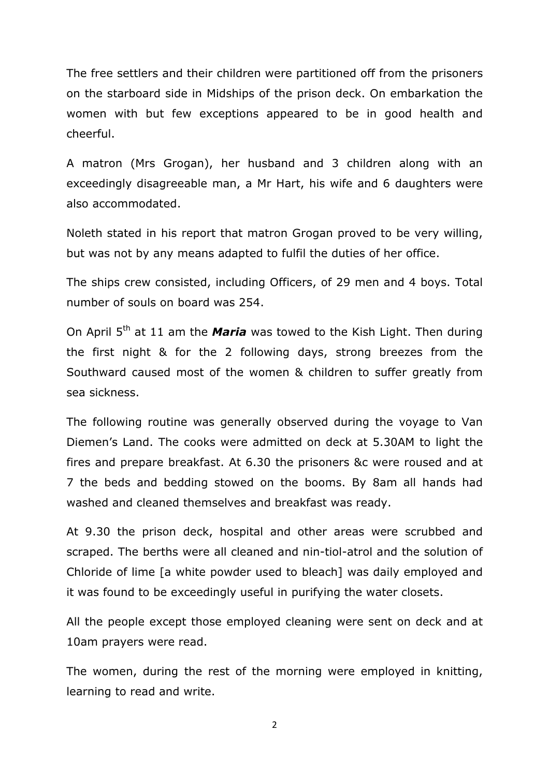The free settlers and their children were partitioned off from the prisoners on the starboard side in Midships of the prison deck. On embarkation the women with but few exceptions appeared to be in good health and cheerful.

A matron (Mrs Grogan), her husband and 3 children along with an exceedingly disagreeable man, a Mr Hart, his wife and 6 daughters were also accommodated.

Noleth stated in his report that matron Grogan proved to be very willing, but was not by any means adapted to fulfil the duties of her office.

The ships crew consisted, including Officers, of 29 men and 4 boys. Total number of souls on board was 254.

On April 5<sup>th</sup> at 11 am the *Maria* was towed to the Kish Light. Then during the first night & for the 2 following days, strong breezes from the Southward caused most of the women & children to suffer greatly from sea sickness.

The following routine was generally observed during the voyage to Van Diemen's Land. The cooks were admitted on deck at 5.30AM to light the fires and prepare breakfast. At 6.30 the prisoners &c were roused and at 7 the beds and bedding stowed on the booms. By 8am all hands had washed and cleaned themselves and breakfast was ready.

At 9.30 the prison deck, hospital and other areas were scrubbed and scraped. The berths were all cleaned and nin-tiol-atrol and the solution of Chloride of lime [a white powder used to bleach] was daily employed and it was found to be exceedingly useful in purifying the water closets.

All the people except those employed cleaning were sent on deck and at 10am prayers were read.

The women, during the rest of the morning were employed in knitting, learning to read and write.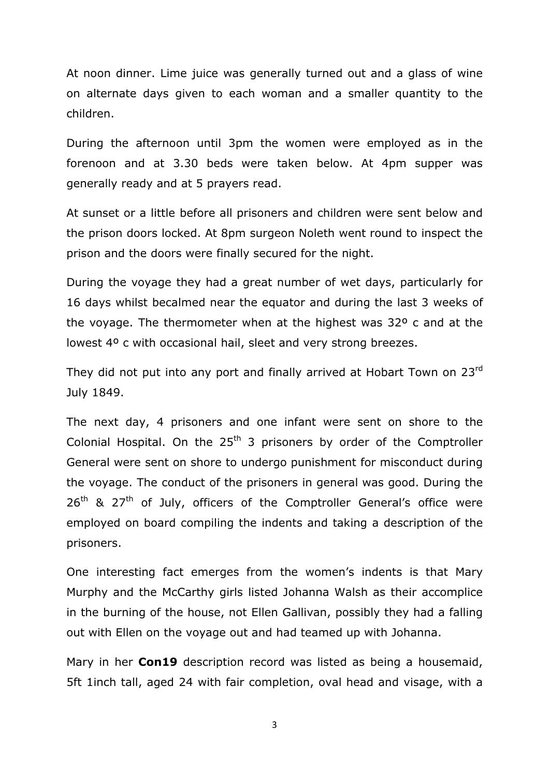At noon dinner. Lime juice was generally turned out and a glass of wine on alternate days given to each woman and a smaller quantity to the children.

During the afternoon until 3pm the women were employed as in the forenoon and at 3.30 beds were taken below. At 4pm supper was generally ready and at 5 prayers read.

At sunset or a little before all prisoners and children were sent below and the prison doors locked. At 8pm surgeon Noleth went round to inspect the prison and the doors were finally secured for the night.

During the voyage they had a great number of wet days, particularly for 16 days whilst becalmed near the equator and during the last 3 weeks of the voyage. The thermometer when at the highest was 32º c and at the lowest 4º c with occasional hail, sleet and very strong breezes.

They did not put into any port and finally arrived at Hobart Town on 23rd July 1849.

The next day, 4 prisoners and one infant were sent on shore to the Colonial Hospital. On the  $25<sup>th</sup>$  3 prisoners by order of the Comptroller General were sent on shore to undergo punishment for misconduct during the voyage. The conduct of the prisoners in general was good. During the  $26<sup>th</sup>$  &  $27<sup>th</sup>$  of July, officers of the Comptroller General's office were employed on board compiling the indents and taking a description of the prisoners.

One interesting fact emerges from the women's indents is that Mary Murphy and the McCarthy girls listed Johanna Walsh as their accomplice in the burning of the house, not Ellen Gallivan, possibly they had a falling out with Ellen on the voyage out and had teamed up with Johanna.

Mary in her **Con19** description record was listed as being a housemaid, 5ft 1inch tall, aged 24 with fair completion, oval head and visage, with a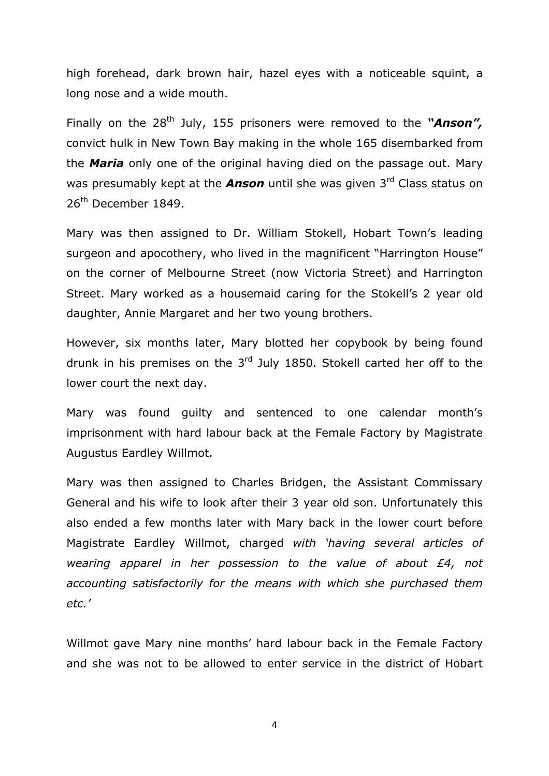high forehead, dark brown hair, hazel eyes with a noticeable squint, a long nose and a wide mouth.

Finally on the 28<sup>th</sup> July, 155 prisoners were removed to the "**Anson",** convict hulk in New Town Bay making in the whole 165 disembarked from the *Maria* only one of the original having died on the passage out. Mary was presumably kept at the *Anson* until she was given 3<sup>rd</sup> Class status on  $26<sup>th</sup>$  December 1849.

Mary was then assigned to Dr. William Stokell, Hobart Town's leading surgeon and apocothery, who lived in the magnificent "Harrington House" on the corner of Melbourne Street (now Victoria Street) and Harrington Street. Mary worked as a housemaid caring for the Stokell's 2 year old daughter, Annie Margaret and her two young brothers.

However, six months later, Mary blotted her copybook by being found drunk in his premises on the  $3<sup>rd</sup>$  July 1850. Stokell carted her off to the lower court the next day.

Mary was found guilty and sentenced to one calendar month's imprisonment with hard labour back at the Female Factory by Magistrate Augustus Eardley Willmot.

Mary was then assigned to Charles Bridgen, the Assistant Commissary General and his wife to look after their 3 year old son. Unfortunately this also ended a few months later with Mary back in the lower court before Magistrate Eardley Willmot, charged *with 'having several articles of wearing apparel in her possession to the value of about £4, not accounting satisfactorily for the means with which she purchased them etc.'*

Willmot gave Mary nine months' hard labour back in the Female Factory and she was not to be allowed to enter service in the district of Hobart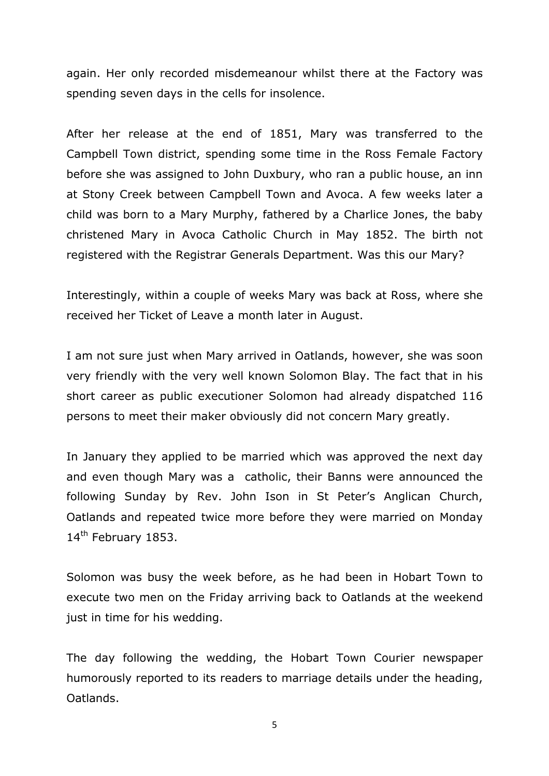again. Her only recorded misdemeanour whilst there at the Factory was spending seven days in the cells for insolence.

After her release at the end of 1851, Mary was transferred to the Campbell Town district, spending some time in the Ross Female Factory before she was assigned to John Duxbury, who ran a public house, an inn at Stony Creek between Campbell Town and Avoca. A few weeks later a child was born to a Mary Murphy, fathered by a Charlice Jones, the baby christened Mary in Avoca Catholic Church in May 1852. The birth not registered with the Registrar Generals Department. Was this our Mary?

Interestingly, within a couple of weeks Mary was back at Ross, where she received her Ticket of Leave a month later in August.

I am not sure just when Mary arrived in Oatlands, however, she was soon very friendly with the very well known Solomon Blay. The fact that in his short career as public executioner Solomon had already dispatched 116 persons to meet their maker obviously did not concern Mary greatly.

In January they applied to be married which was approved the next day and even though Mary was a catholic, their Banns were announced the following Sunday by Rev. John Ison in St Peter's Anglican Church, Oatlands and repeated twice more before they were married on Monday 14<sup>th</sup> February 1853.

Solomon was busy the week before, as he had been in Hobart Town to execute two men on the Friday arriving back to Oatlands at the weekend just in time for his wedding.

The day following the wedding, the Hobart Town Courier newspaper humorously reported to its readers to marriage details under the heading, Oatlands.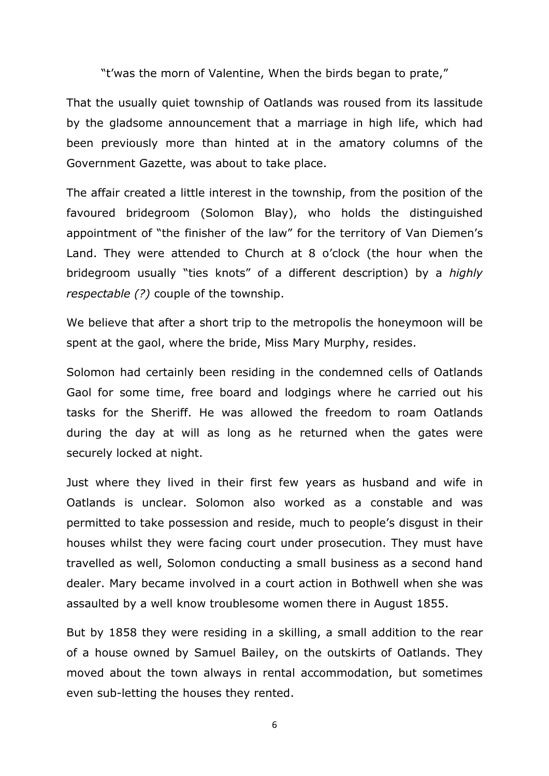"t'was the morn of Valentine, When the birds began to prate,"

That the usually quiet township of Oatlands was roused from its lassitude by the gladsome announcement that a marriage in high life, which had been previously more than hinted at in the amatory columns of the Government Gazette, was about to take place.

The affair created a little interest in the township, from the position of the favoured bridegroom (Solomon Blay), who holds the distinguished appointment of "the finisher of the law" for the territory of Van Diemen's Land. They were attended to Church at 8 o'clock (the hour when the bridegroom usually "ties knots" of a different description) by a *highly respectable (?)* couple of the township.

We believe that after a short trip to the metropolis the honeymoon will be spent at the gaol, where the bride, Miss Mary Murphy, resides.

Solomon had certainly been residing in the condemned cells of Oatlands Gaol for some time, free board and lodgings where he carried out his tasks for the Sheriff. He was allowed the freedom to roam Oatlands during the day at will as long as he returned when the gates were securely locked at night.

Just where they lived in their first few years as husband and wife in Oatlands is unclear. Solomon also worked as a constable and was permitted to take possession and reside, much to people's disgust in their houses whilst they were facing court under prosecution. They must have travelled as well, Solomon conducting a small business as a second hand dealer. Mary became involved in a court action in Bothwell when she was assaulted by a well know troublesome women there in August 1855.

But by 1858 they were residing in a skilling, a small addition to the rear of a house owned by Samuel Bailey, on the outskirts of Oatlands. They moved about the town always in rental accommodation, but sometimes even sub-letting the houses they rented.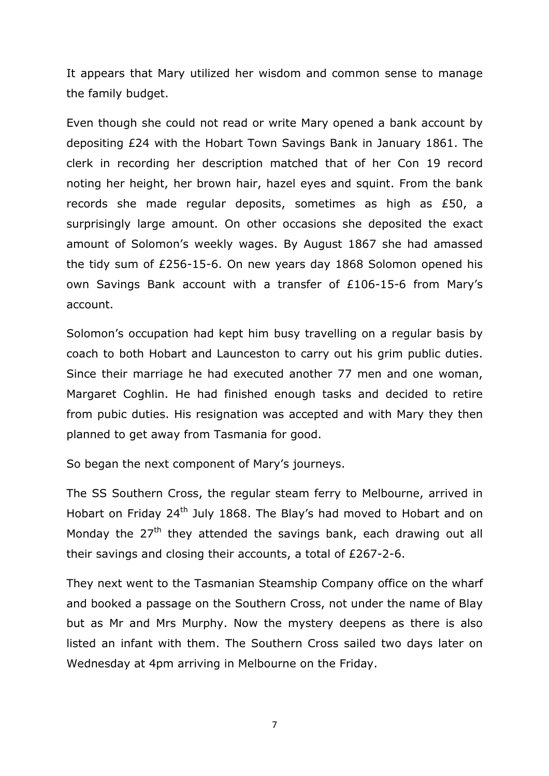It appears that Mary utilized her wisdom and common sense to manage the family budget.

Even though she could not read or write Mary opened a bank account by depositing £24 with the Hobart Town Savings Bank in January 1861. The clerk in recording her description matched that of her Con 19 record noting her height, her brown hair, hazel eyes and squint. From the bank records she made regular deposits, sometimes as high as £50, a surprisingly large amount. On other occasions she deposited the exact amount of Solomon's weekly wages. By August 1867 she had amassed the tidy sum of £256-15-6. On new years day 1868 Solomon opened his own Savings Bank account with a transfer of £106-15-6 from Mary's account.

Solomon's occupation had kept him busy travelling on a regular basis by coach to both Hobart and Launceston to carry out his grim public duties. Since their marriage he had executed another 77 men and one woman, Margaret Coghlin. He had finished enough tasks and decided to retire from pubic duties. His resignation was accepted and with Mary they then planned to get away from Tasmania for good.

So began the next component of Mary's journeys.

The SS Southern Cross, the regular steam ferry to Melbourne, arrived in Hobart on Friday 24<sup>th</sup> July 1868. The Blay's had moved to Hobart and on Monday the  $27<sup>th</sup>$  they attended the savings bank, each drawing out all their savings and closing their accounts, a total of £267-2-6.

They next went to the Tasmanian Steamship Company office on the wharf and booked a passage on the Southern Cross, not under the name of Blay but as Mr and Mrs Murphy. Now the mystery deepens as there is also listed an infant with them. The Southern Cross sailed two days later on Wednesday at 4pm arriving in Melbourne on the Friday.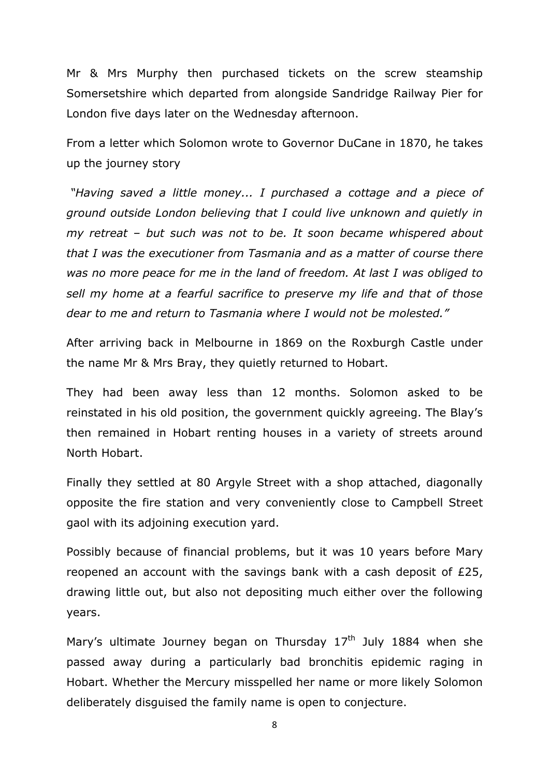Mr & Mrs Murphy then purchased tickets on the screw steamship Somersetshire which departed from alongside Sandridge Railway Pier for London five days later on the Wednesday afternoon.

From a letter which Solomon wrote to Governor DuCane in 1870, he takes up the journey story

*"Having saved a little money... I purchased a cottage and a piece of ground outside London believing that I could live unknown and quietly in my retreat – but such was not to be. It soon became whispered about that I was the executioner from Tasmania and as a matter of course there was no more peace for me in the land of freedom. At last I was obliged to sell my home at a fearful sacrifice to preserve my life and that of those dear to me and return to Tasmania where I would not be molested."*

After arriving back in Melbourne in 1869 on the Roxburgh Castle under the name Mr & Mrs Bray, they quietly returned to Hobart.

They had been away less than 12 months. Solomon asked to be reinstated in his old position, the government quickly agreeing. The Blay's then remained in Hobart renting houses in a variety of streets around North Hobart.

Finally they settled at 80 Argyle Street with a shop attached, diagonally opposite the fire station and very conveniently close to Campbell Street gaol with its adjoining execution yard.

Possibly because of financial problems, but it was 10 years before Mary reopened an account with the savings bank with a cash deposit of £25, drawing little out, but also not depositing much either over the following years.

Mary's ultimate Journey began on Thursday  $17<sup>th</sup>$  July 1884 when she passed away during a particularly bad bronchitis epidemic raging in Hobart. Whether the Mercury misspelled her name or more likely Solomon deliberately disguised the family name is open to conjecture.